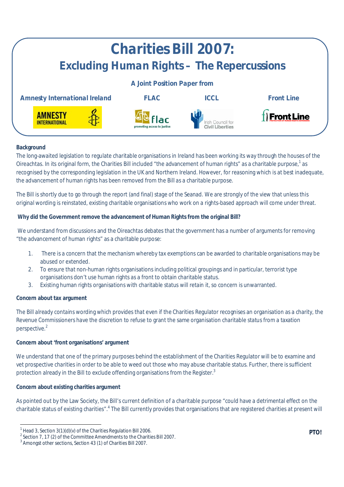

# **Background**

The long-awaited legislation to regulate charitable organisations in Ireland has been working its way through the houses of the Oireachtas. In its original form, the Charities Bill included "the advancement of human rights" as a charitable purpose,<sup>1</sup> as recognised by the corresponding legislation in the UK and Northern Ireland. However, for reasoning which is at best inadequate, the advancement of human rights has been removed from the Bill as a charitable purpose.

The Bill is shortly due to go through the report (and final) stage of the Seanad. We are strongly of the view that unless this original wording is reinstated, existing charitable organisations who work on a rights-based approach will come under threat.

# **Why did the Government remove the advancement of Human Rights from the original Bill?**

We understand from discussions and the Oireachtas debates that the government has a number of arguments for removing "the advancement of human rights" as a charitable purpose:

- 1. There is a concern that the mechanism whereby tax exemptions can be awarded to charitable organisations may be abused or extended.
- 2. To ensure that non-human rights organisations including political groupings and in particular, terrorist type organisations don't use human rights as a front to obtain charitable status.
- 3. Existing human rights organisations with charitable status will retain it, so concern is unwarranted.

### **Concern about tax argument**

The Bill already contains wording which provides that even if the Charities Regulator recognises an organisation as a charity, the Revenue Commissioners have the discretion to refuse to grant the same organisation charitable status from a taxation perspective.<sup>2</sup>

### **Concern about 'front organisations' argument**

We understand that one of the primary purposes behind the establishment of the Charities Regulator will be to examine and vet prospective charities in order to be able to weed out those who may abuse charitable status. Further, there is sufficient protection already in the Bill to exclude offending organisations from the Register.<sup>3</sup>

### **Concern about existing charities argument**

 $\overline{\phantom{a}}$ 

As pointed out by the Law Society, the Bill's current definition of a charitable purpose "could have a detrimental effect on the charitable status of existing charities".<sup>4</sup> The Bill currently provides that organisations that are registered charities at present will

<sup>&</sup>lt;sup>1</sup> Head 3, Section 3(1)(d)(v) of the Charities Regulation Bill 2006.

<sup>&</sup>lt;sup>2</sup> Section 7, 17 (2) of the Committee Amendments to the Charities Bill 2007.

 $3$  Amongst other sections, Section 43 (1) of Charities Bill 2007.